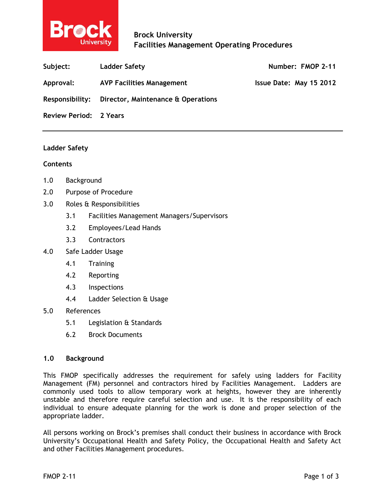

| Subject:                      | Ladder Safety                      | Number: FMOP 2-11       |
|-------------------------------|------------------------------------|-------------------------|
| Approval:                     | <b>AVP Facilities Management</b>   | Issue Date: May 15 2012 |
| <b>Responsibility:</b>        | Director, Maintenance & Operations |                         |
| <b>Review Period: 2 Years</b> |                                    |                         |

### **Ladder Safety**

### **Contents**

- 1.0 Background
- 2.0 Purpose of Procedure
- 3.0 Roles & Responsibilities
	- 3.1 Facilities Management Managers/Supervisors
	- 3.2 Employees/Lead Hands
	- 3.3 Contractors
- 4.0 Safe Ladder Usage
	- 4.1 Training
	- 4.2 Reporting
	- 4.3 Inspections
	- 4.4 Ladder Selection & Usage

# 5.0 References

- 5.1 Legislation & Standards
- 6.2 Brock Documents

## **1.0 Background**

This FMOP specifically addresses the requirement for safely using ladders for Facility Management (FM) personnel and contractors hired by Facilities Management. Ladders are commonly used tools to allow temporary work at heights, however they are inherently unstable and therefore require careful selection and use. It is the responsibility of each individual to ensure adequate planning for the work is done and proper selection of the appropriate ladder.

All persons working on Brock's premises shall conduct their business in accordance with Brock University's Occupational Health and Safety Policy, the Occupational Health and Safety Act and other Facilities Management procedures.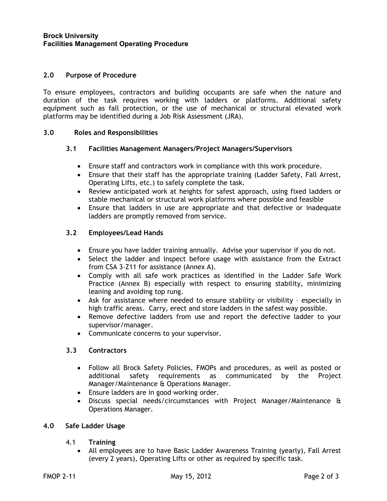## **2.0 Purpose of Procedure**

To ensure employees, contractors and building occupants are safe when the nature and duration of the task requires working with ladders or platforms. Additional safety equipment such as fall protection, or the use of mechanical or structural elevated work platforms may be identified during a Job Risk Assessment (JRA).

## **3.0 Roles and Responsibilities**

## **3.1 Facilities Management Managers/Project Managers/Supervisors**

- Ensure staff and contractors work in compliance with this work procedure.
- Ensure that their staff has the appropriate training (Ladder Safety, Fall Arrest, Operating Lifts, etc.) to safely complete the task.
- Review anticipated work at heights for safest approach, using fixed ladders or stable mechanical or structural work platforms where possible and feasible
- Ensure that ladders in use are appropriate and that defective or inadequate ladders are promptly removed from service.

# **3.2 Employees/Lead Hands**

- Ensure you have ladder training annually. Advise your supervisor if you do not.
- Select the ladder and inspect before usage with assistance from the Extract from CSA 3-Z11 for assistance (Annex A).
- Comply with all safe work practices as identified in the Ladder Safe Work Practice (Annex B) especially with respect to ensuring stability, minimizing leaning and avoiding top rung.
- Ask for assistance where needed to ensure stability or visibility especially in high traffic areas. Carry, erect and store ladders in the safest way possible.
- Remove defective ladders from use and report the defective ladder to your supervisor/manager.
- Communicate concerns to your supervisor.

# **3.3 Contractors**

- Follow all Brock Safety Policies, FMOPs and procedures, as well as posted or additional safety requirements as communicated by the Project Manager/Maintenance & Operations Manager.
- Ensure ladders are in good working order.
- Discuss special needs/circumstances with Project Manager/Maintenance & Operations Manager.

### **4.0 Safe Ladder Usage**

- 4.1 **Training**
	- All employees are to have Basic Ladder Awareness Training (yearly), Fall Arrest (every 2 years), Operating Lifts or other as required by specific task.